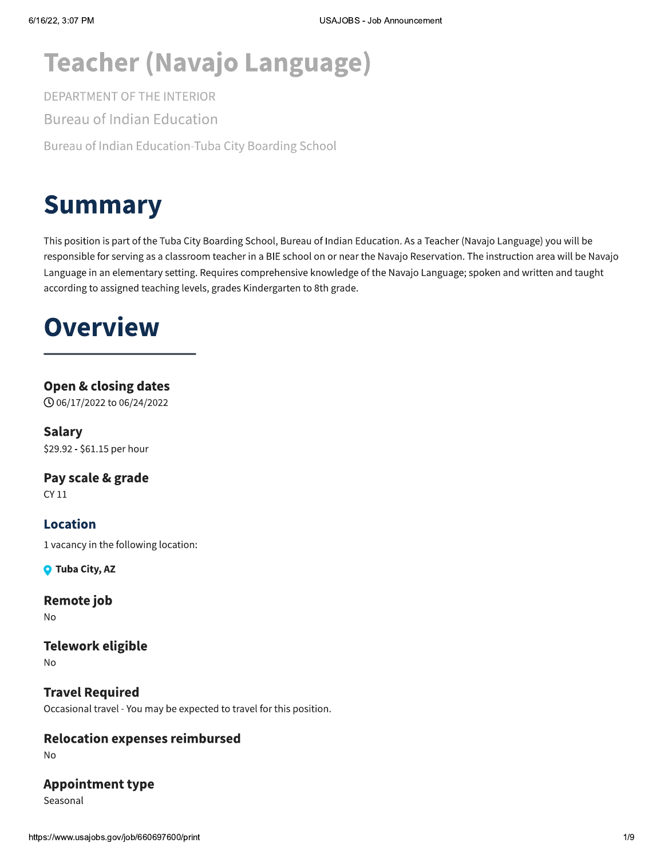# **Teacher (Navajo Language)**

DEPARTMENT OF THE INTERIOR

**Bureau of Indian Education** 

Bureau of Indian Education-Tuba City Boarding School

# **Summary**

This position is part of the Tuba City Boarding School, Bureau of Indian Education. As a Teacher (Navajo Language) you will be responsible for serving as a classroom teacher in a BIE school on or near the Navajo Reservation. The instruction area will be Navajo Language in an elementary setting. Requires comprehensive knowledge of the Navajo Language; spoken and written and taught according to assigned teaching levels, grades Kindergarten to 8th grade.

# **Overview**

### **Open & closing dates**

**① 06/17/2022 to 06/24/2022** 

**Salary** \$29.92 - \$61.15 per hour

Pay scale & grade CY 11

1 vacancy in the following location:

**Q** Tuba City, AZ

**Location** 

**Remote job No** 

**Telework eligible** 

**No** 

**Travel Required** Occasional travel - You may be expected to travel for this position.

### **Relocation expenses reimbursed**

No

### **Appointment type**

Seasonal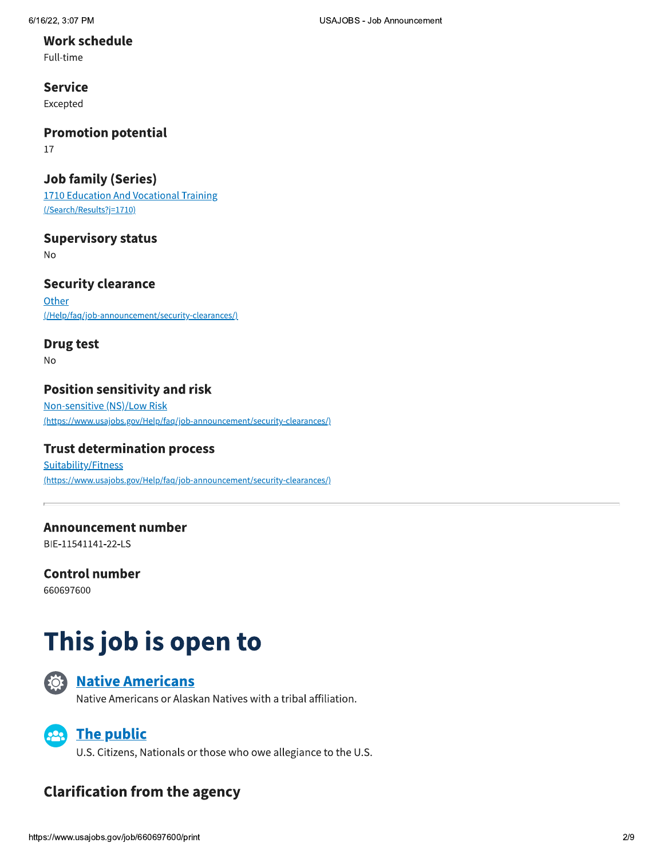#### **Work schedule**

Full-time

### **Service**

Excepted

### **Promotion potential**

17

### **Job family (Series)**

1710 Education And Vocational Training (/Search/Results?j=1710)

### **Supervisory status**

**No** 

### **Security clearance**

Other (/Help/faq/job-announcement/security-clearances/)

### **Drug test**

**No** 

### **Position sensitivity and risk**

Non-sensitive (NS)/Low Risk (https://www.usajobs.gov/Help/faq/job-announcement/security-clearances/)

### **Trust determination process**

Suitability/Fitness (https://www.usajobs.gov/Help/faq/job-announcement/security-clearances/)

### **Announcement number**

BIE-11541141-22-LS

### **Control number**

660697600

# This job is open to



### **Native Americans**

Native Americans or Alaskan Natives with a tribal affiliation.



U.S. Citizens, Nationals or those who owe allegiance to the U.S.

### **Clarification from the agency**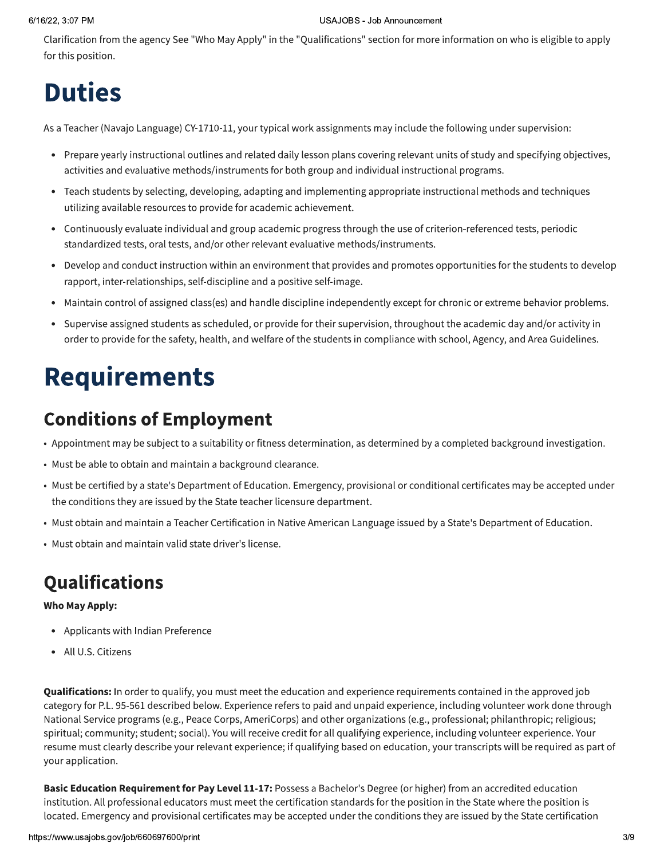#### 6/16/22, 3:07 PM

#### **USAJOBS - Job Announcement**

Clarification from the agency See "Who May Apply" in the "Qualifications" section for more information on who is eligible to apply for this position.

# **Duties**

As a Teacher (Navajo Language) CY-1710-11, your typical work assignments may include the following under supervision:

- Prepare yearly instructional outlines and related daily lesson plans covering relevant units of study and specifying objectives, activities and evaluative methods/instruments for both group and individual instructional programs.
- Teach students by selecting, developing, adapting and implementing appropriate instructional methods and techniques  $\bullet$ utilizing available resources to provide for academic achievement.
- Continuously evaluate individual and group academic progress through the use of criterion-referenced tests, periodic  $\bullet$ standardized tests, oral tests, and/or other relevant evaluative methods/instruments.
- Develop and conduct instruction within an environment that provides and promotes opportunities for the students to develop  $\bullet$ rapport, inter-relationships, self-discipline and a positive self-image.
- Maintain control of assigned class(es) and handle discipline independently except for chronic or extreme behavior problems.  $\bullet$
- Supervise assigned students as scheduled, or provide for their supervision, throughout the academic day and/or activity in order to provide for the safety, health, and welfare of the students in compliance with school, Agency, and Area Guidelines.

# **Requirements**

## **Conditions of Employment**

- Appointment may be subject to a suitability or fitness determination, as determined by a completed background investigation.
- Must be able to obtain and maintain a background clearance.
- Must be certified by a state's Department of Education. Emergency, provisional or conditional certificates may be accepted under the conditions they are issued by the State teacher licensure department.
- Must obtain and maintain a Teacher Certification in Native American Language issued by a State's Department of Education.
- Must obtain and maintain valid state driver's license.

## Qualifications

#### **Who May Apply:**

- Applicants with Indian Preference
- All U.S. Citizens

Qualifications: In order to qualify, you must meet the education and experience requirements contained in the approved job category for P.L. 95-561 described below. Experience refers to paid and unpaid experience, including volunteer work done through National Service programs (e.g., Peace Corps, AmeriCorps) and other organizations (e.g., professional; philanthropic; religious; spiritual; community; student; social). You will receive credit for all qualifying experience, including volunteer experience. Your resume must clearly describe your relevant experience; if qualifying based on education, your transcripts will be required as part of your application.

Basic Education Requirement for Pay Level 11-17: Possess a Bachelor's Degree (or higher) from an accredited education institution. All professional educators must meet the certification standards for the position in the State where the position is located. Emergency and provisional certificates may be accepted under the conditions they are issued by the State certification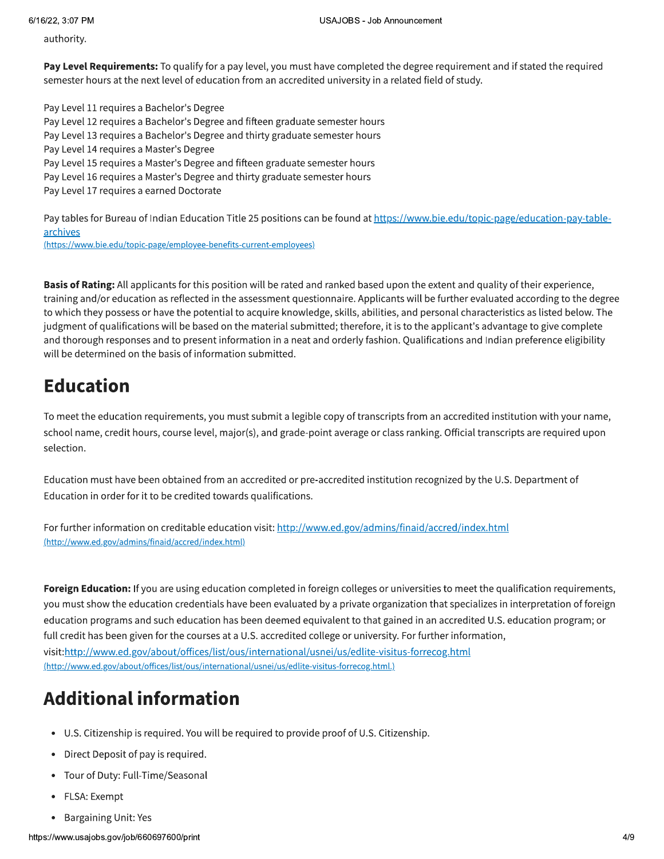authority.

Pay Level Requirements: To qualify for a pay level, you must have completed the degree requirement and if stated the required semester hours at the next level of education from an accredited university in a related field of study.

Pay Level 11 requires a Bachelor's Degree Pay Level 12 requires a Bachelor's Degree and fifteen graduate semester hours Pay Level 13 requires a Bachelor's Degree and thirty graduate semester hours Pay Level 14 requires a Master's Degree Pay Level 15 requires a Master's Degree and fifteen graduate semester hours Pay Level 16 requires a Master's Degree and thirty graduate semester hours Pay Level 17 requires a earned Doctorate

Pay tables for Bureau of Indian Education Title 25 positions can be found at https://www.bie.edu/topic-page/education-pay-tablearchives

(https://www.bie.edu/topic-page/employee-benefits-current-employees)

Basis of Rating: All applicants for this position will be rated and ranked based upon the extent and quality of their experience, training and/or education as reflected in the assessment questionnaire. Applicants will be further evaluated according to the degree to which they possess or have the potential to acquire knowledge, skills, abilities, and personal characteristics as listed below. The judgment of qualifications will be based on the material submitted; therefore, it is to the applicant's advantage to give complete and thorough responses and to present information in a neat and orderly fashion. Qualifications and Indian preference eligibility will be determined on the basis of information submitted.

## **Education**

To meet the education requirements, you must submit a legible copy of transcripts from an accredited institution with your name, school name, credit hours, course level, major(s), and grade-point average or class ranking. Official transcripts are required upon selection.

Education must have been obtained from an accredited or pre-accredited institution recognized by the U.S. Department of Education in order for it to be credited towards qualifications.

For further information on creditable education visit: http://www.ed.gov/admins/finaid/accred/index.html (http://www.ed.gov/admins/finaid/accred/index.html)

Foreign Education: If you are using education completed in foreign colleges or universities to meet the qualification requirements, you must show the education credentials have been evaluated by a private organization that specializes in interpretation of foreign education programs and such education has been deemed equivalent to that gained in an accredited U.S. education program; or full credit has been given for the courses at a U.S. accredited college or university. For further information, visit:http://www.ed.gov/about/offices/list/ous/international/usnei/us/edlite-visitus-forrecog.html (http://www.ed.gov/about/offices/list/ous/international/usnei/us/edlite-visitus-forrecog.html.)

## **Additional information**

- U.S. Citizenship is required. You will be required to provide proof of U.S. Citizenship.
- Direct Deposit of pay is required.
- Tour of Duty: Full-Time/Seasonal
- FLSA: Exempt
- Bargaining Unit: Yes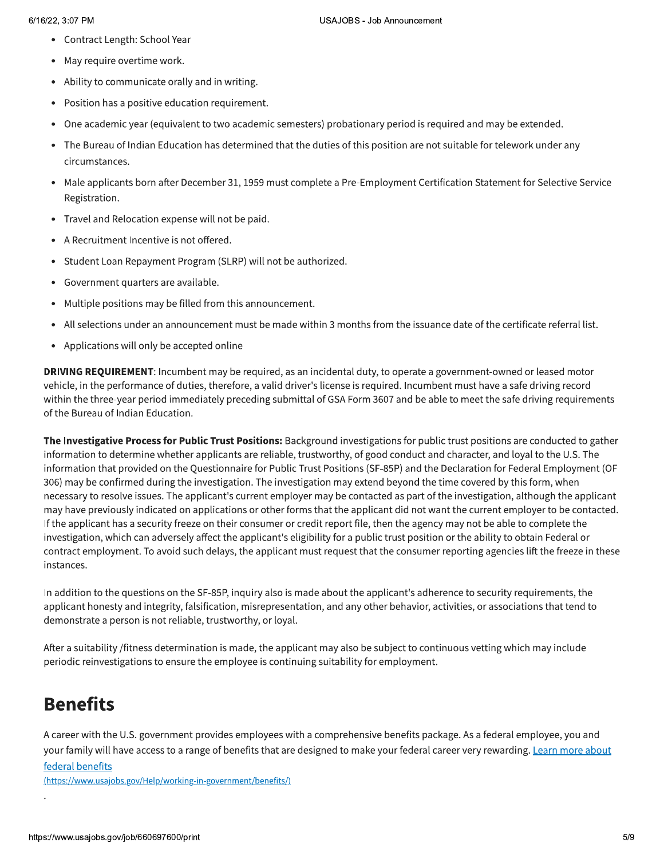- Contract Length: School Year
- May require overtime work.
- Ability to communicate orally and in writing.  $\bullet$
- Position has a positive education requirement.
- One academic year (equivalent to two academic semesters) probationary period is required and may be extended.  $\bullet$
- The Bureau of Indian Education has determined that the duties of this position are not suitable for telework under any  $\bullet$ circumstances.
- $\bullet$ Male applicants born after December 31, 1959 must complete a Pre-Employment Certification Statement for Selective Service Registration.
- $\bullet$ Travel and Relocation expense will not be paid.
- $\bullet$ A Recruitment Incentive is not offered.
- Student Loan Repayment Program (SLRP) will not be authorized.  $\bullet$
- $\bullet$ Government quarters are available.
- $\bullet$ Multiple positions may be filled from this announcement.
- All selections under an announcement must be made within 3 months from the issuance date of the certificate referral list.  $\bullet$
- $\bullet$ Applications will only be accepted online

**DRIVING REQUIREMENT:** Incumbent may be required, as an incidental duty, to operate a government-owned or leased motor vehicle, in the performance of duties, therefore, a valid driver's license is required. Incumbent must have a safe driving record within the three-year period immediately preceding submittal of GSA Form 3607 and be able to meet the safe driving requirements of the Bureau of Indian Education.

The Investigative Process for Public Trust Positions: Background investigations for public trust positions are conducted to gather information to determine whether applicants are reliable, trustworthy, of good conduct and character, and loyal to the U.S. The information that provided on the Questionnaire for Public Trust Positions (SF-85P) and the Declaration for Federal Employment (OF 306) may be confirmed during the investigation. The investigation may extend beyond the time covered by this form, when necessary to resolve issues. The applicant's current employer may be contacted as part of the investigation, although the applicant may have previously indicated on applications or other forms that the applicant did not want the current employer to be contacted. If the applicant has a security freeze on their consumer or credit report file, then the agency may not be able to complete the investigation, which can adversely affect the applicant's eligibility for a public trust position or the ability to obtain Federal or contract employment. To avoid such delays, the applicant must request that the consumer reporting agencies lift the freeze in these instances.

In addition to the questions on the SF-85P, inquiry also is made about the applicant's adherence to security requirements, the applicant honesty and integrity, falsification, misrepresentation, and any other behavior, activities, or associations that tend to demonstrate a person is not reliable, trustworthy, or loyal.

After a suitability /fitness determination is made, the applicant may also be subject to continuous vetting which may include periodic reinvestigations to ensure the employee is continuing suitability for employment.

## **Benefits**

:

&' (-A career with the U.S. government provides employees with a comprehensive benefits package. As a federal employee, you and your family will have access to a range of benefits that are designed to make your federal career very rewarding. Learn more about federal benefits

(https://www.usajobs.gov/Help/working-in-government/benefits/)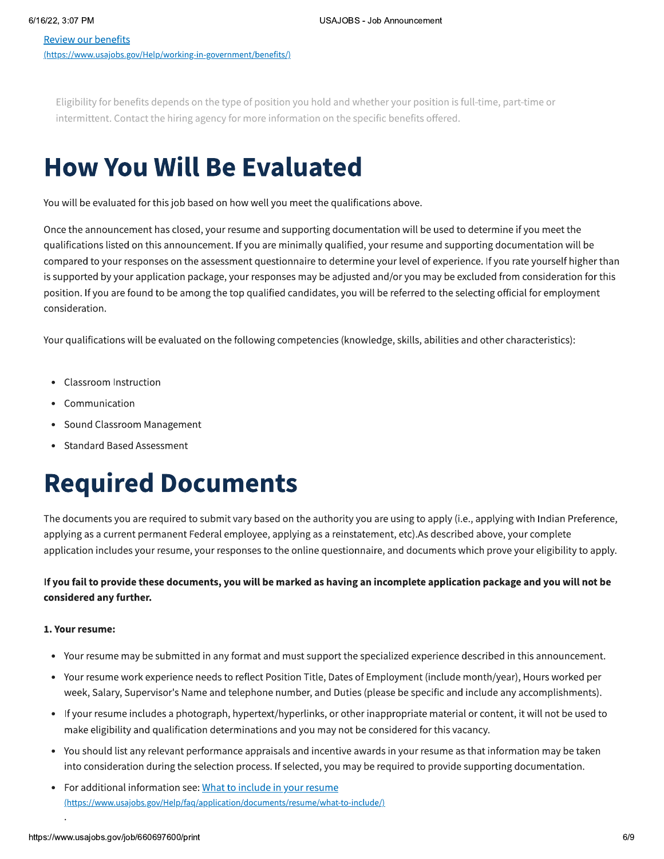Eligibility for benefits depends on the type of position you hold and whether your position is full-time, part-time or intermittent. Contact the hiring agency for more information on the specific benefits offered.

# **How You Will Be Evaluated**

You will be evaluated for this job based on how well you meet the qualifications above.

Once the announcement has closed, your resume and supporting documentation will be used to determine if you meet the qualifications listed on this announcement. If you are minimally qualified, your resume and supporting documentation will be compared to your responses on the assessment questionnaire to determine your level of experience. If you rate yourself higher than is supported by your application package, your responses may be adjusted and/or you may be excluded from consideration for this position. If you are found to be among the top qualified candidates, you will be referred to the selecting official for employment consideration.

Your qualifications will be evaluated on the following competencies (knowledge, skills, abilities and other characteristics):

- Classroom Instruction  $\bullet$
- $\bullet$ Communication
- Sound Classroom Management  $\bullet$
- **Standard Based Assessment**

# **Required Documents**

The documents you are required to submit vary based on the authority you are using to apply (i.e., applying with Indian Preference, applying as a current permanent Federal employee, applying as a reinstatement, etc). As described above, your complete application includes your resume, your responses to the online questionnaire, and documents which prove your eligibility to apply.

#### If you fail to provide these documents, you will be marked as having an incomplete application package and you will not be considered any further.

#### 1. Your resume:

- Your resume may be submitted in any format and must support the specialized experience described in this announcement.  $\bullet$
- Your resume work experience needs to reflect Position Title, Dates of Employment (include month/year), Hours worked per  $\bullet$ week, Salary, Supervisor's Name and telephone number, and Duties (please be specific and include any accomplishments).
- If your resume includes a photograph, hypertext/hyperlinks, or other inappropriate material or content, it will not be used to make eligibility and qualification determinations and you may not be considered for this vacancy.
- You should list any relevant performance appraisals and incentive awards in your resume as that information may be taken  $\bullet$ into consideration during the selection process. If selected, you may be required to provide supporting documentation.
- For additional information see: What to include in your resume (https://www.usajobs.gov/Help/faq/application/documents/resume/what-to-include/)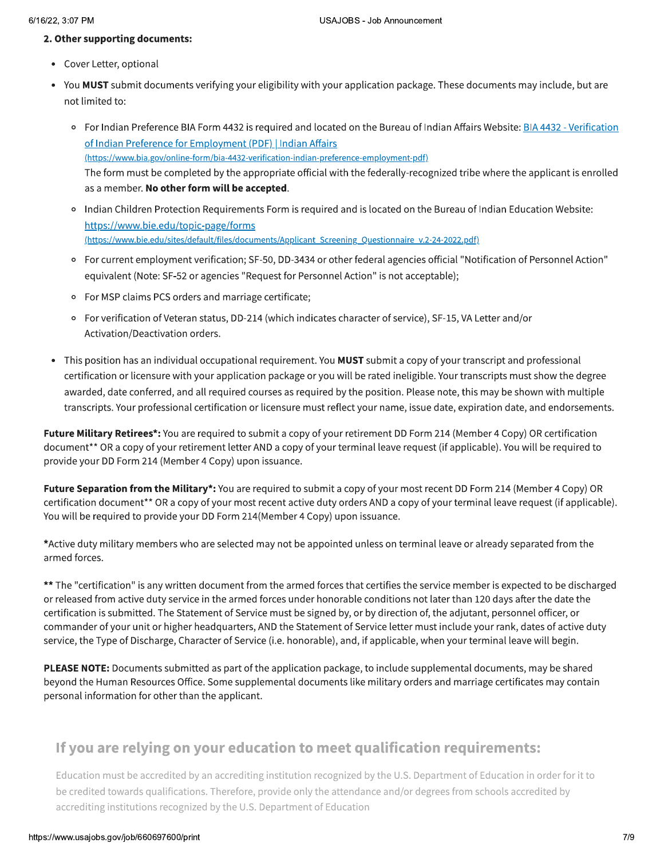#### 2. Other supporting documents:

- Cover Letter, optional
- You MUST submit documents verifying your eligibility with your application package. These documents may include, but are not limited to:
	- o For Indian Preference BIA Form 4432 is required and located on the Bureau of Indian Affairs Website: BIA 4432 Verification of Indian Preference for Employment (PDF) | Indian Affairs (https://www.bia.gov/online-form/bia-4432-verification-indian-preference-employment-pdf) The form must be completed by the appropriate official with the federally-recognized tribe where the applicant is enrolled as a member. No other form will be accepted.
	- o Indian Children Protection Requirements Form is required and is located on the Bureau of Indian Education Website: https://www.bie.edu/topic-page/forms (https://www.bie.edu/sites/default/files/documents/Applicant\_Screening\_Questionnaire\_v.2-24-2022.pdf)
	- For current employment verification; SF-50, DD-3434 or other federal agencies official "Notification of Personnel Action" equivalent (Note: SF-52 or agencies "Request for Personnel Action" is not acceptable);
	- For MSP claims PCS orders and marriage certificate;
	- o For verification of Veteran status, DD-214 (which indicates character of service), SF-15, VA Letter and/or Activation/Deactivation orders.
- This position has an individual occupational requirement. You **MUST** submit a copy of your transcript and professional  $\bullet$ certification or licensure with your application package or you will be rated ineligible. Your transcripts must show the degree awarded, date conferred, and all required courses as required by the position. Please note, this may be shown with multiple transcripts. Your professional certification or licensure must reflect your name, issue date, expiration date, and endorsements.

Future Military Retirees\*: You are required to submit a copy of your retirement DD Form 214 (Member 4 Copy) OR certification document\*\* OR a copy of your retirement letter AND a copy of your terminal leave request (if applicable). You will be required to provide your DD Form 214 (Member 4 Copy) upon issuance.

Future Separation from the Military\*: You are required to submit a copy of your most recent DD Form 214 (Member 4 Copy) OR certification document\*\* OR a copy of your most recent active duty orders AND a copy of your terminal leave request (if applicable). You will be required to provide your DD Form 214(Member 4 Copy) upon issuance.

\*Active duty military members who are selected may not be appointed unless on terminal leave or already separated from the armed forces.

\*\* The "certification" is any written document from the armed forces that certifies the service member is expected to be discharged or released from active duty service in the armed forces under honorable conditions not later than 120 days after the date the certification is submitted. The Statement of Service must be signed by, or by direction of, the adjutant, personnel officer, or commander of your unit or higher headquarters, AND the Statement of Service letter must include your rank, dates of active duty service, the Type of Discharge, Character of Service (i.e. honorable), and, if applicable, when your terminal leave will begin.

PLEASE NOTE: Documents submitted as part of the application package, to include supplemental documents, may be shared beyond the Human Resources Office. Some supplemental documents like military orders and marriage certificates may contain personal information for other than the applicant.

### If you are relying on your education to meet qualification requirements:

Education must be accredited by an accrediting institution recognized by the U.S. Department of Education in order for it to be credited towards qualifications. Therefore, provide only the attendance and/or degrees from schools accredited by accrediting institutions recognized by the U.S. Department of Education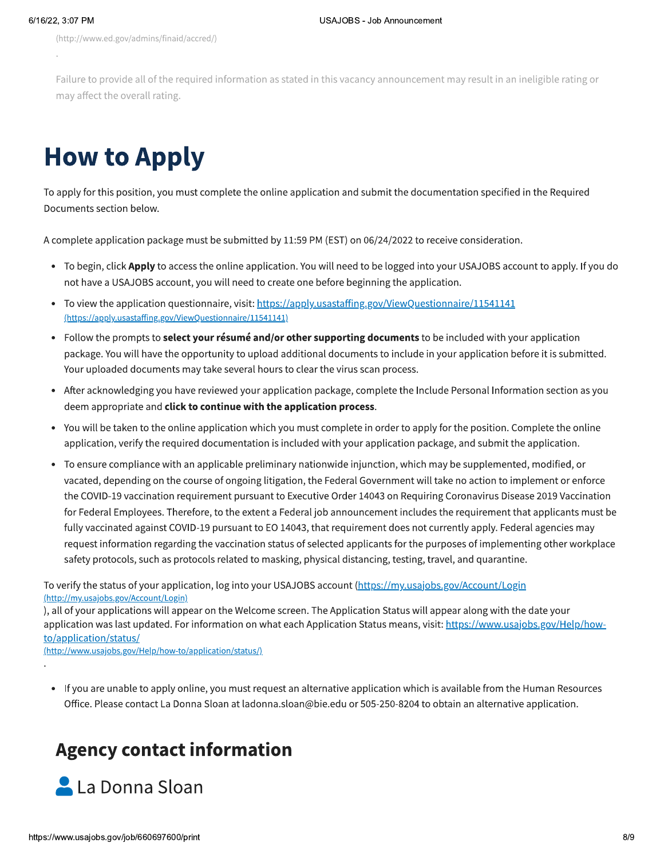(http://www.ed.gov/admins/finaid/accred/)

Failure to provide all of the required information as stated in this vacancy announcement may result in an ineligible rating or may affect the overall rating.

# **How to Apply**

To apply for this position, you must complete the online application and submit the documentation specified in the Required Documents section below.

A complete application package must be submitted by 11:59 PM (EST) on 06/24/2022 to receive consideration.

- To begin, click Apply to access the online application. You will need to be logged into your USAJOBS account to apply. If you do not have a USAJOBS account, you will need to create one before beginning the application.
- To view the application questionnaire, visit: https://apply.usastaffing.gov/ViewQuestionnaire/11541141  $\bullet$ (https://apply.usastaffing.gov/ViewQuestionnaire/11541141)
- Follow the prompts to **select your résumé and/or other supporting documents** to be included with your application  $\bullet$ package. You will have the opportunity to upload additional documents to include in your application before it is submitted. Your uploaded documents may take several hours to clear the virus scan process.
- After acknowledging you have reviewed your application package, complete the Include Personal Information section as you  $\bullet$ deem appropriate and click to continue with the application process.
- You will be taken to the online application which you must complete in order to apply for the position. Complete the online application, verify the required documentation is included with your application package, and submit the application.
- To ensure compliance with an applicable preliminary nationwide injunction, which may be supplemented, modified, or vacated, depending on the course of ongoing litigation, the Federal Government will take no action to implement or enforce the COVID-19 vaccination requirement pursuant to Executive Order 14043 on Requiring Coronavirus Disease 2019 Vaccination for Federal Employees. Therefore, to the extent a Federal job announcement includes the requirement that applicants must be fully vaccinated against COVID-19 pursuant to EO 14043, that requirement does not currently apply. Federal agencies may request information regarding the vaccination status of selected applicants for the purposes of implementing other workplace safety protocols, such as protocols related to masking, physical distancing, testing, travel, and quarantine.

To verify the status of your application, log into your USAJOBS account (https://my.usajobs.gov/Account/Login (http://my.usajobs.gov/Account/Login)

), all of your applications will appear on the Welcome screen. The Application Status will appear along with the date your application was last updated. For information on what each Application Status means, visit: https://www.usajobs.gov/Help/howto/application/status/

(http://www.usajobs.gov/Help/how-to/application/status/)

If you are unable to apply online, you must request an alternative application which is available from the Human Resources  $\bullet$ Office. Please contact La Donna Sloan at ladonna.sloan@bie.edu or 505-250-8204 to obtain an alternative application.

## **Agency contact information**